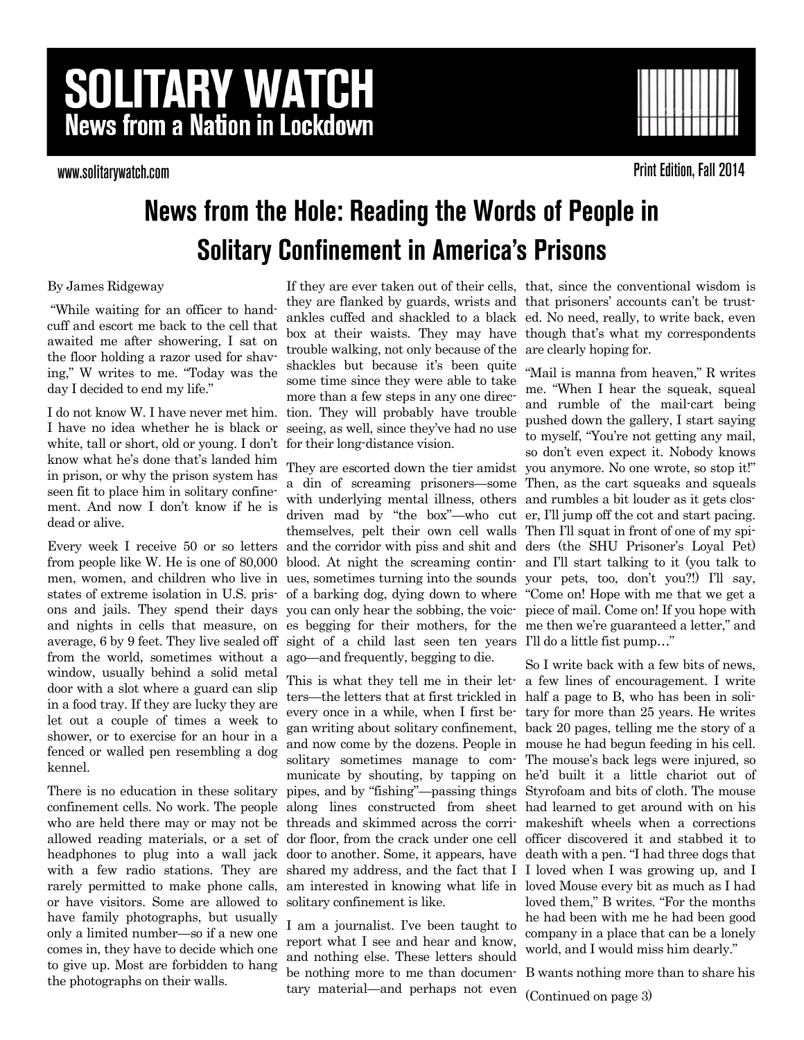# **SOLITARY WATCH News from a Nation in Lockdown**

www.solitarywatch.com



**Print Edition, Fall 2014** 

## **News from the Hole: Reading the Words of People in Solitary Confinement in America's Prisons**

By James Ridgeway

"While waiting for an officer to handcuff and escort me back to the cell that awaited me after showering, I sat on the floor holding a razor used for shaving," W writes to me. "Today was the day I decided to end my life."

I do not know W. I have never met him. I have no idea whether he is black or white, tall or short, old or young. I don't know what he's done that's landed him in prison, or why the prison system has seen fit to place him in solitary confinement. And now I don't know if he is dead or alive.

Every week I receive 50 or so letters from people like W. He is one of 80,000 men, women, and children who live in states of extreme isolation in U.S. prisons and jails. They spend their days and nights in cells that measure, on average, 6 by 9 feet. They live sealed off from the world, sometimes without a window, usually behind a solid metal door with a slot where a guard can slip in a food tray. If they are lucky they are let out a couple of times a week to shower, or to exercise for an hour in a fenced or walled pen resembling a dog kennel.

There is no education in these solitary confinement cells. No work. The people who are held there may or may not be allowed reading materials, or a set of headphones to plug into a wall jack with a few radio stations. They are rarely permitted to make phone calls, or have visitors. Some are allowed to have family photographs, but usually only a limited number—so if a new one comes in, they have to decide which one to give up. Most are forbidden to hang the photographs on their walls.

they are flanked by guards, wrists and that prisoners' accounts can't be trusttrouble walking, not only because of the are clearly hoping for. shackles but because it's been quite some time since they were able to take more than a few steps in any one direction. They will probably have trouble seeing, as well, since they've had no use for their long-distance vision.

They are escorted down the tier amidst a din of screaming prisoners—some with underlying mental illness, others driven mad by "the box"—who cut er, I'll jump off the cot and start pacing. themselves, pelt their own cell walls Then I'll squat in front of one of my spiand the corridor with piss and shit and ders (the SHU Prisoner's Loyal Pet) blood. At night the screaming continues, sometimes turning into the sounds of a barking dog, dying down to where you can only hear the sobbing, the voices begging for their mothers, for the me then we're guaranteed a letter," and sight of a child last seen ten years I'll do a little fist pump..." ago—and frequently, begging to die.

This is what they tell me in their let-a few lines of encouragement. I write ters—the letters that at first trickled in half a page to B, who has been in solievery once in a while, when I first be-tary for more than 25 years. He writes gan writing about solitary confinement, back 20 pages, telling me the story of a and now come by the dozens. People in mouse he had begun feeding in his cell. solitary sometimes manage to com-The mouse's back legs were injured, so municate by shouting, by tapping on he'd built it a little chariot out of pipes, and by "fishing"—passing things Styrofoam and bits of cloth. The mouse along lines constructed from sheet had learned to get around with on his threads and skimmed across the corri-makeshift wheels when a corrections dor floor, from the crack under one cell officer discovered it and stabbed it to door to another. Some, it appears, have death with a pen. "I had three dogs that shared my address, and the fact that I I loved when I was growing up, and I am interested in knowing what life in loved Mouse every bit as much as I had solitary confinement is like.

I am a journalist. I've been taught to report what I see and hear and know, and nothing else. These letters should be nothing more to me than documentary material—and perhaps not even

If they are ever taken out of their cells, that, since the conventional wisdom is ankles cuffed and shackled to a black ed. No need, really, to write back, even box at their waists. They may have though that's what my correspondents

> "Mail is manna from heaven," R writes me. "When I hear the squeak, squeal and rumble of the mail-cart being pushed down the gallery, I start saying to myself, "You're not getting any mail, so don't even expect it. Nobody knows you anymore. No one wrote, so stop it!" Then, as the cart squeaks and squeals and rumbles a bit louder as it gets closand I'll start talking to it (you talk to your pets, too, don't you?!) I'll say, "Come on! Hope with me that we get a piece of mail. Come on! If you hope with

So I write back with a few bits of news, loved them," B writes. "For the months he had been with me he had been good company in a place that can be a lonely world, and I would miss him dearly."

B wants nothing more than to share his

(Continued on page 3)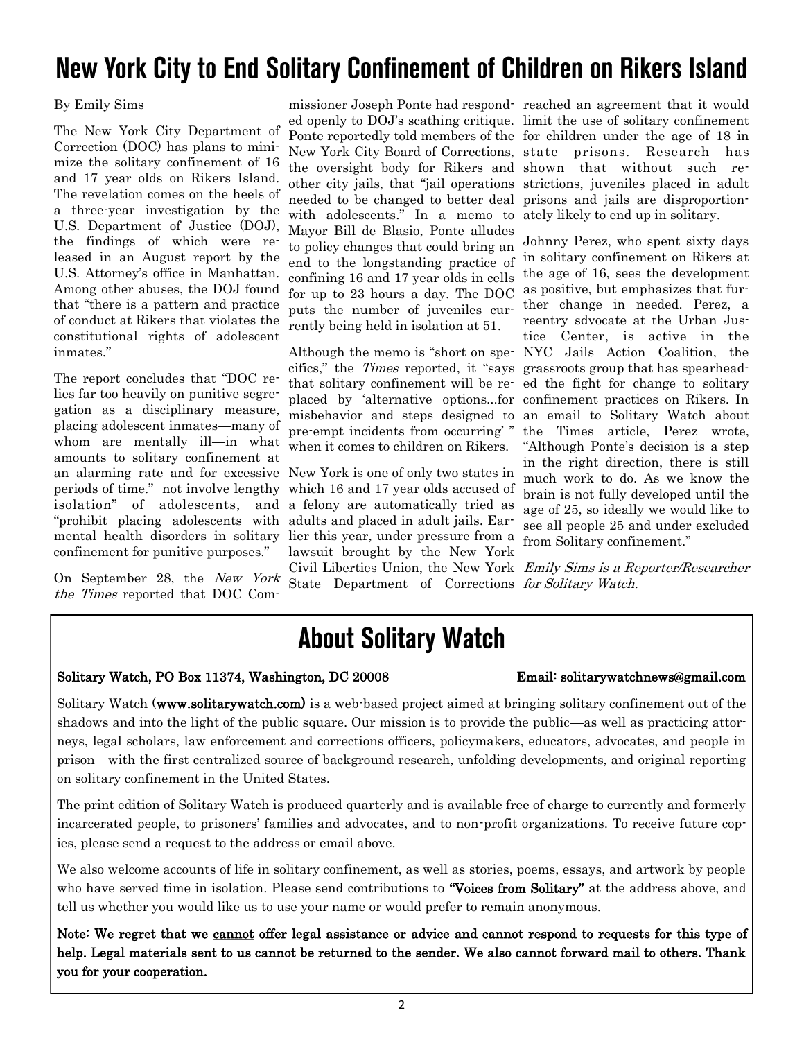## New York City to End Solitary Confinement of Children on Rikers Island

#### By Emily Sims

The New York City Department of Correction (DOC) has plans to minimize the solitary confinement of 16 and 17 year olds on Rikers Island. The revelation comes on the heels of a three-year investigation by the U.S. Department of Justice (DOJ), the findings of which were released in an August report by the U.S. Attorney's office in Manhattan. Among other abuses, the DOJ found that "there is a pattern and practice of conduct at Rikers that violates the constitutional rights of adolescent inmates."

The report concludes that "DOC relies far too heavily on punitive segregation as a disciplinary measure, placing adolescent inmates—many of whom are mentally ill—in what amounts to solitary confinement at an alarming rate and for excessive periods of time." not involve lengthy isolation" of adolescents, and "prohibit placing adolescents with mental health disorders in solitary confinement for punitive purposes."

On September 28, the New York the Times reported that DOC Com-

missioner Joseph Ponte had respond-reached an agreement that it would ed openly to DOJ's scathing critique. limit the use of solitary confinement Ponte reportedly told members of the for children under the age of 18 in New York City Board of Corrections, state prisons. Research has the oversight body for Rikers and shown that without such reother city jails, that "jail operations strictions, juveniles placed in adult needed to be changed to better deal prisons and jails are disproportionwith adolescents." In a memo to ately likely to end up in solitary. Mayor Bill de Blasio, Ponte alludes to policy changes that could bring an end to the longstanding practice of confining 16 and 17 year olds in cells for up to 23 hours a day. The DOC puts the number of juveniles currently being held in isolation at 51.

Although the memo is "short on specifics," the Times reported, it "says that solitary confinement will be replaced by 'alternative options...for misbehavior and steps designed to pre-empt incidents from occurring' " when it comes to children on Rikers.

New York is one of only two states in which 16 and 17 year olds accused of a felony are automatically tried as adults and placed in adult jails. Earlier this year, under pressure from a lawsuit brought by the New York State Department of Corrections for Solitary Watch.

Johnny Perez, who spent sixty days in solitary confinement on Rikers at the age of 16, sees the development as positive, but emphasizes that further change in needed. Perez, a reentry sdvocate at the Urban Justice Center, is active in the NYC Jails Action Coalition, the grassroots group that has spearheaded the fight for change to solitary confinement practices on Rikers. In an email to Solitary Watch about the Times article, Perez wrote, "Although Ponte's decision is a step in the right direction, there is still much work to do. As we know the brain is not fully developed until the age of 25, so ideally we would like to see all people 25 and under excluded from Solitary confinement."

Civil Liberties Union, the New York Emily Sims is a Reporter/Researcher

## **About Solitary Watch**

#### Solitary Watch, PO Box 11374, Washington, DC 20008 Email: solitarywatchnews@gmail.com

Solitary Watch (www.solitarywatch.com) is a web-based project aimed at bringing solitary confinement out of the shadows and into the light of the public square. Our mission is to provide the public—as well as practicing attorneys, legal scholars, law enforcement and corrections officers, policymakers, educators, advocates, and people in prison—with the first centralized source of background research, unfolding developments, and original reporting on solitary confinement in the United States.

The print edition of Solitary Watch is produced quarterly and is available free of charge to currently and formerly incarcerated people, to prisoners' families and advocates, and to non-profit organizations. To receive future copies, please send a request to the address or email above.

We also welcome accounts of life in solitary confinement, as well as stories, poems, essays, and artwork by people who have served time in isolation. Please send contributions to "Voices from Solitary" at the address above, and tell us whether you would like us to use your name or would prefer to remain anonymous.

Note: We regret that we cannot offer legal assistance or advice and cannot respond to requests for this type of help. Legal materials sent to us cannot be returned to the sender. We also cannot forward mail to others. Thank you for your cooperation.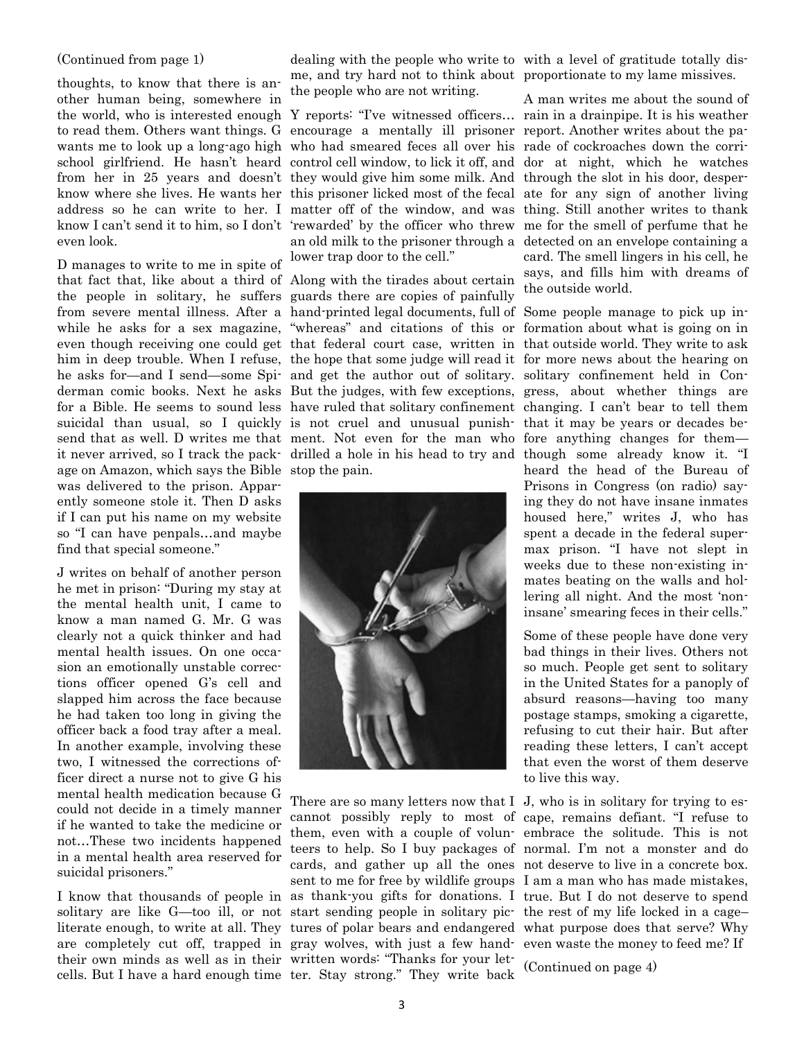#### (Continued from page 1)

thoughts, to know that there is another human being, somewhere in the world, who is interested enough Y reports: "I've witnessed officers… rain in a drainpipe. It is his weather to read them. Others want things. G encourage a mentally ill prisoner report. Another writes about the pawants me to look up a long-ago high who had smeared feces all over his rade of cockroaches down the corrischool girlfriend. He hasn't heard control cell window, to lick it off, and dor at night, which he watches from her in 25 years and doesn't they would give him some milk. And through the slot in his door, desperknow where she lives. He wants her this prisoner licked most of the fecal ate for any sign of another living address so he can write to her. I matter off of the window, and was thing. Still another writes to thank know I can't send it to him, so I don't 'rewarded' by the officer who threw me for the smell of perfume that he even look.

D manages to write to me in spite of that fact that, like about a third of Along with the tirades about certain the people in solitary, he suffers guards there are copies of painfully age on Amazon, which says the Bible stop the pain. was delivered to the prison. Apparently someone stole it. Then D asks if I can put his name on my website so "I can have penpals…and maybe find that special someone."

J writes on behalf of another person he met in prison: "During my stay at the mental health unit, I came to know a man named G. Mr. G was clearly not a quick thinker and had mental health issues. On one occasion an emotionally unstable corrections officer opened G's cell and slapped him across the face because he had taken too long in giving the officer back a food tray after a meal. In another example, involving these two, I witnessed the corrections officer direct a nurse not to give G his mental health medication because G could not decide in a timely manner if he wanted to take the medicine or not…These two incidents happened in a mental health area reserved for suicidal prisoners."

I know that thousands of people in as thank-you gifts for donations. I true. But I do not deserve to spend solitary are like G—too ill, or not start sending people in solitary pic- the rest of my life locked in a cage literate enough, to write at all. They tures of polar bears and endangered what purpose does that serve? Why are completely cut off, trapped in gray wolves, with just a few hand-even waste the money to feed me? If their own minds as well as in their written words: "Thanks for your letcells. But I have a hard enough time ter. Stay strong." They write back

me, and try hard not to think about proportionate to my lame missives. the people who are not writing.

an old milk to the prisoner through a detected on an envelope containing a lower trap door to the cell."

from severe mental illness. After a hand-printed legal documents, full of Some people manage to pick up inwhile he asks for a sex magazine, "whereas" and citations of this or formation about what is going on in even though receiving one could get that federal court case, written in that outside world. They write to ask him in deep trouble. When I refuse, the hope that some judge will read it for more news about the hearing on he asks for—and I send—some Spi- and get the author out of solitary. solitary confinement held in Conderman comic books. Next he asks But the judges, with few exceptions, gress, about whether things are for a Bible. He seems to sound less have ruled that solitary confinement changing. I can't bear to tell them suicidal than usual, so I quickly is not cruel and unusual punish- that it may be years or decades besend that as well. D writes me that ment. Not even for the man who fore anything changes for them it never arrived, so I track the pack-drilled a hole in his head to try and though some already know it. "I



There are so many letters now that I J, who is in solitary for trying to es-

dealing with the people who write to with a level of gratitude totally dis-

A man writes me about the sound of card. The smell lingers in his cell, he says, and fills him with dreams of the outside world.

heard the head of the Bureau of Prisons in Congress (on radio) saying they do not have insane inmates housed here," writes J, who has spent a decade in the federal supermax prison. "I have not slept in weeks due to these non-existing inmates beating on the walls and hollering all night. And the most 'noninsane' smearing feces in their cells."

Some of these people have done very bad things in their lives. Others not so much. People get sent to solitary in the United States for a panoply of absurd reasons—having too many postage stamps, smoking a cigarette, refusing to cut their hair. But after reading these letters, I can't accept that even the worst of them deserve to live this way.

cannot possibly reply to most of cape, remains defiant. "I refuse to them, even with a couple of volun-embrace the solitude. This is not teers to help. So I buy packages of normal. I'm not a monster and do cards, and gather up all the ones not deserve to live in a concrete box. sent to me for free by wildlife groups I am a man who has made mistakes,

(Continued on page 4)